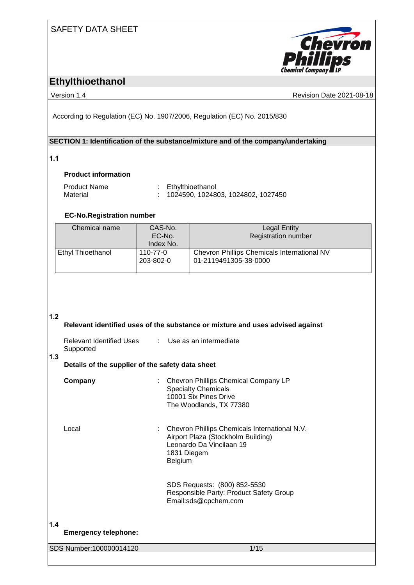### SAFETY DATA SHEET



## **Ethylthioethanol**

Version 1.4 Revision Date 2021-08-18

According to Regulation (EC) No. 1907/2006, Regulation (EC) No. 2015/830

#### **SECTION 1: Identification of the substance/mixture and of the company/undertaking**

#### **1.1**

#### **Product information**

| <b>Product Name</b> | : Ethylthioethanol                   |
|---------------------|--------------------------------------|
| Material            | : 1024590, 1024803, 1024802, 1027450 |

#### **EC-No.Registration number**

| Chemical name     | CAS-No.<br>EC-No.     | <b>Legal Entity</b><br><b>Registration number</b>                    |
|-------------------|-----------------------|----------------------------------------------------------------------|
|                   | Index No.             |                                                                      |
| Ethyl Thioethanol | 110-77-0<br>203-802-0 | Chevron Phillips Chemicals International NV<br>01-2119491305-38-0000 |

**1.2** 

|     |                                                  |    | Relevant identified uses of the substance or mixture and uses advised against                                                             |  |  |
|-----|--------------------------------------------------|----|-------------------------------------------------------------------------------------------------------------------------------------------|--|--|
| 1.3 | Relevant Identified Uses<br>Supported            |    | : Use as an intermediate                                                                                                                  |  |  |
|     | Details of the supplier of the safety data sheet |    |                                                                                                                                           |  |  |
|     | Company                                          |    | Chevron Phillips Chemical Company LP<br><b>Specialty Chemicals</b><br>10001 Six Pines Drive<br>The Woodlands, TX 77380                    |  |  |
|     | Local                                            | ÷. | Chevron Phillips Chemicals International N.V.<br>Airport Plaza (Stockholm Building)<br>Leonardo Da Vincilaan 19<br>1831 Diegem<br>Belgium |  |  |
|     |                                                  |    | SDS Requests: (800) 852-5530<br>Responsible Party: Product Safety Group<br>Email:sds@cpchem.com                                           |  |  |
| 1.4 | <b>Emergency telephone:</b>                      |    |                                                                                                                                           |  |  |
|     | SDS Number: 100000014120                         |    | 1/15                                                                                                                                      |  |  |
|     |                                                  |    |                                                                                                                                           |  |  |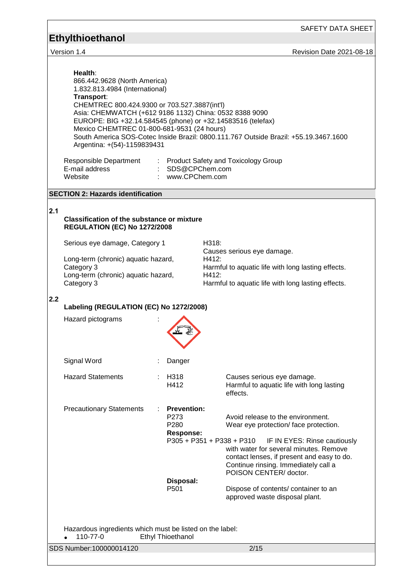### SAFETY DATA SHEET

# **Ethylthioethanol**

Version 1.4 Revision Date 2021-08-18

| Health:<br>866.442.9628 (North America)<br>1.832.813.4984 (International)<br>Transport:<br>CHEMTREC 800.424.9300 or 703.527.3887(int'l)<br>Asia: CHEMWATCH (+612 9186 1132) China: 0532 8388 9090<br>EUROPE: BIG +32.14.584545 (phone) or +32.14583516 (telefax)<br>Mexico CHEMTREC 01-800-681-9531 (24 hours)<br>Argentina: +(54)-1159839431<br>Responsible Department : Product Safety and Toxicology Group<br>E-mail address<br>Website | : SDS@CPChem.com<br>: www.CPChem.com                                        | South America SOS-Cotec Inside Brazil: 0800.111.767 Outside Brazil: +55.19.3467.1600                                                                                                                                                                                                                                                    |
|--------------------------------------------------------------------------------------------------------------------------------------------------------------------------------------------------------------------------------------------------------------------------------------------------------------------------------------------------------------------------------------------------------------------------------------------|-----------------------------------------------------------------------------|-----------------------------------------------------------------------------------------------------------------------------------------------------------------------------------------------------------------------------------------------------------------------------------------------------------------------------------------|
| <b>SECTION 2: Hazards identification</b>                                                                                                                                                                                                                                                                                                                                                                                                   |                                                                             |                                                                                                                                                                                                                                                                                                                                         |
| 2.1<br><b>Classification of the substance or mixture</b><br><b>REGULATION (EC) No 1272/2008</b>                                                                                                                                                                                                                                                                                                                                            |                                                                             |                                                                                                                                                                                                                                                                                                                                         |
| Serious eye damage, Category 1<br>Long-term (chronic) aquatic hazard,<br>Category 3<br>Long-term (chronic) aquatic hazard,<br>Category 3                                                                                                                                                                                                                                                                                                   |                                                                             | H318:<br>Causes serious eye damage.<br>H412:<br>Harmful to aquatic life with long lasting effects.<br>H412:<br>Harmful to aquatic life with long lasting effects.                                                                                                                                                                       |
| 2.2<br>Labeling (REGULATION (EC) No 1272/2008)<br>Hazard pictograms                                                                                                                                                                                                                                                                                                                                                                        |                                                                             |                                                                                                                                                                                                                                                                                                                                         |
| Signal Word                                                                                                                                                                                                                                                                                                                                                                                                                                | Danger                                                                      |                                                                                                                                                                                                                                                                                                                                         |
| <b>Hazard Statements</b>                                                                                                                                                                                                                                                                                                                                                                                                                   | H318<br>H412                                                                | Causes serious eye damage.<br>Harmful to aquatic life with long lasting<br>effects.                                                                                                                                                                                                                                                     |
| <b>Precautionary Statements</b>                                                                                                                                                                                                                                                                                                                                                                                                            | <b>Prevention:</b><br>P273<br>P280<br><b>Response:</b><br>Disposal:<br>P501 | Avoid release to the environment.<br>Wear eye protection/face protection.<br>P305 + P351 + P338 + P310<br>IF IN EYES: Rinse cautiously<br>with water for several minutes. Remove<br>contact lenses, if present and easy to do.<br>Continue rinsing. Immediately call a<br>POISON CENTER/doctor.<br>Dispose of contents/ container to an |
| Hazardous ingredients which must be listed on the label:<br>110-77-0<br>SDS Number:100000014120                                                                                                                                                                                                                                                                                                                                            | <b>Ethyl Thioethanol</b>                                                    | approved waste disposal plant.<br>2/15                                                                                                                                                                                                                                                                                                  |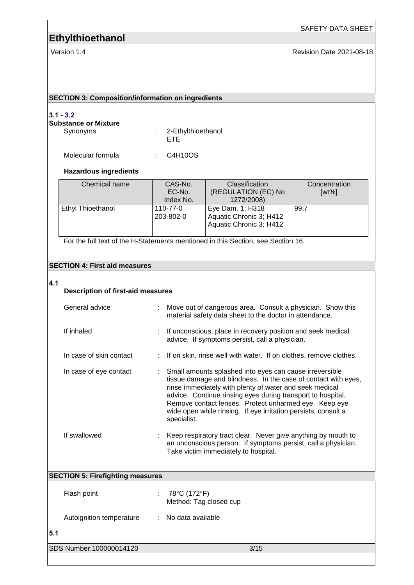SAFETY DATA SHEET

Version 1.4 **Version 1.4** Revision Date 2021-08-18

#### **SECTION 3: Composition/information on ingredients**

#### **3.1 - 3.2**

### **Substance or Mixture**

Synonyms : 2-Ethylthioethanol ETE

Molecular formula : C4H10OS

#### **Hazardous ingredients**

| Chemical name     | CAS-No.<br>EC-No.<br>Index No. | <b>Classification</b><br>(REGULATION (EC) No<br>1272/2008)             | Concentration<br>$[wt\%]$ |
|-------------------|--------------------------------|------------------------------------------------------------------------|---------------------------|
| Ethyl Thioethanol | 110-77-0<br>203-802-0          | Eye Dam. 1; H318<br>Aquatic Chronic 3; H412<br>Aquatic Chronic 3; H412 | 99.7                      |

For the full text of the H-Statements mentioned in this Section, see Section 16.

#### **SECTION 4: First aid measures**

#### **4.1**

#### **Description of first-aid measures**

| General advice          |                                         | : Move out of dangerous area. Consult a physician. Show this<br>material safety data sheet to the doctor in attendance.                                                                                                                                                                                                                                                                         |  |
|-------------------------|-----------------------------------------|-------------------------------------------------------------------------------------------------------------------------------------------------------------------------------------------------------------------------------------------------------------------------------------------------------------------------------------------------------------------------------------------------|--|
| If inhaled              |                                         | : If unconscious, place in recovery position and seek medical<br>advice. If symptoms persist, call a physician.                                                                                                                                                                                                                                                                                 |  |
| In case of skin contact |                                         | : If on skin, rinse well with water. If on clothes, remove clothes.                                                                                                                                                                                                                                                                                                                             |  |
| In case of eye contact  |                                         | : Small amounts splashed into eyes can cause irreversible<br>tissue damage and blindness. In the case of contact with eyes,<br>rinse immediately with plenty of water and seek medical<br>advice. Continue rinsing eyes during transport to hospital.<br>Remove contact lenses. Protect unharmed eye. Keep eye<br>wide open while rinsing. If eye irritation persists, consult a<br>specialist. |  |
| If swallowed            |                                         | : Keep respiratory tract clear. Never give anything by mouth to<br>an unconscious person. If symptoms persist, call a physician.<br>Take victim immediately to hospital.                                                                                                                                                                                                                        |  |
|                         | <b>SECTION 5: Firefighting measures</b> |                                                                                                                                                                                                                                                                                                                                                                                                 |  |
|                         |                                         |                                                                                                                                                                                                                                                                                                                                                                                                 |  |

|     | Flash point              |    | 78°C (172°F)<br>Method: Tag closed cup |      |
|-----|--------------------------|----|----------------------------------------|------|
|     | Autoignition temperature | ÷. | No data available                      |      |
| 5.1 |                          |    |                                        |      |
|     | SDS Number: 100000014120 |    |                                        | 3/15 |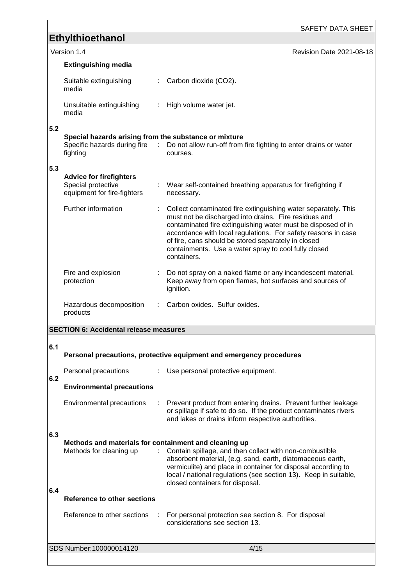| Version | <b>Revision Date 2021-08-18</b> |
|---------|---------------------------------|
|         |                                 |

|     | <b>Extinguishing media</b>                                                          |   |                                                                                                                                                                                                                                                                                                                                                                                        |
|-----|-------------------------------------------------------------------------------------|---|----------------------------------------------------------------------------------------------------------------------------------------------------------------------------------------------------------------------------------------------------------------------------------------------------------------------------------------------------------------------------------------|
|     | Suitable extinguishing<br>media                                                     |   | Carbon dioxide (CO2).                                                                                                                                                                                                                                                                                                                                                                  |
|     | Unsuitable extinguishing<br>media                                                   | ÷ | High volume water jet.                                                                                                                                                                                                                                                                                                                                                                 |
| 5.2 | Special hazards arising from the substance or mixture                               |   |                                                                                                                                                                                                                                                                                                                                                                                        |
|     | Specific hazards during fire :<br>fighting                                          |   | Do not allow run-off from fire fighting to enter drains or water<br>courses.                                                                                                                                                                                                                                                                                                           |
| 5.3 |                                                                                     |   |                                                                                                                                                                                                                                                                                                                                                                                        |
|     | <b>Advice for firefighters</b><br>Special protective<br>equipment for fire-fighters |   | Wear self-contained breathing apparatus for firefighting if<br>necessary.                                                                                                                                                                                                                                                                                                              |
|     | Further information                                                                 |   | Collect contaminated fire extinguishing water separately. This<br>must not be discharged into drains. Fire residues and<br>contaminated fire extinguishing water must be disposed of in<br>accordance with local regulations. For safety reasons in case<br>of fire, cans should be stored separately in closed<br>containments. Use a water spray to cool fully closed<br>containers. |
|     | Fire and explosion<br>protection                                                    |   | Do not spray on a naked flame or any incandescent material.<br>Keep away from open flames, hot surfaces and sources of<br>ignition.                                                                                                                                                                                                                                                    |
|     | Hazardous decomposition<br>products                                                 |   | Carbon oxides. Sulfur oxides.                                                                                                                                                                                                                                                                                                                                                          |
|     | <b>SECTION 6: Accidental release measures</b>                                       |   |                                                                                                                                                                                                                                                                                                                                                                                        |
|     |                                                                                     |   |                                                                                                                                                                                                                                                                                                                                                                                        |

| 6.1 |                                                                                  |               | Personal precautions, protective equipment and emergency procedures                                                                                                                                                                                                                           |
|-----|----------------------------------------------------------------------------------|---------------|-----------------------------------------------------------------------------------------------------------------------------------------------------------------------------------------------------------------------------------------------------------------------------------------------|
| 6.2 | Personal precautions                                                             |               | : Use personal protective equipment.                                                                                                                                                                                                                                                          |
|     | <b>Environmental precautions</b>                                                 |               |                                                                                                                                                                                                                                                                                               |
|     | Environmental precautions                                                        |               | Prevent product from entering drains. Prevent further leakage<br>or spillage if safe to do so. If the product contaminates rivers<br>and lakes or drains inform respective authorities.                                                                                                       |
| 6.3 |                                                                                  |               |                                                                                                                                                                                                                                                                                               |
|     | Methods and materials for containment and cleaning up<br>Methods for cleaning up | ÷.            | Contain spillage, and then collect with non-combustible<br>absorbent material, (e.g. sand, earth, diatomaceous earth,<br>vermiculite) and place in container for disposal according to<br>local / national regulations (see section 13). Keep in suitable,<br>closed containers for disposal. |
| 6.4 | <b>Reference to other sections</b>                                               |               |                                                                                                                                                                                                                                                                                               |
|     | Reference to other sections                                                      | $\mathcal{L}$ | For personal protection see section 8. For disposal<br>considerations see section 13.                                                                                                                                                                                                         |
|     | SDS Number:100000014120                                                          |               | 4/15                                                                                                                                                                                                                                                                                          |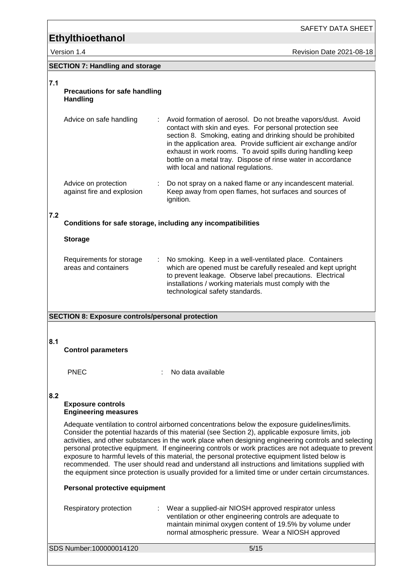SAFETY DATA SHEET

Version 1.4 **Access 1.4** Revision Date 2021-08-18

| SECTION 7: Handling and storage |  |
|---------------------------------|--|
|---------------------------------|--|

| 7.1 | <b>Precautions for safe handling</b><br><b>Handling</b>      |                                                                                                                                                                                                                                                                                                                                                                                                                                                                                                                                                                                                                                                                                                                                  |
|-----|--------------------------------------------------------------|----------------------------------------------------------------------------------------------------------------------------------------------------------------------------------------------------------------------------------------------------------------------------------------------------------------------------------------------------------------------------------------------------------------------------------------------------------------------------------------------------------------------------------------------------------------------------------------------------------------------------------------------------------------------------------------------------------------------------------|
|     | Advice on safe handling                                      | Avoid formation of aerosol. Do not breathe vapors/dust. Avoid<br>contact with skin and eyes. For personal protection see<br>section 8. Smoking, eating and drinking should be prohibited<br>in the application area. Provide sufficient air exchange and/or<br>exhaust in work rooms. To avoid spills during handling keep<br>bottle on a metal tray. Dispose of rinse water in accordance<br>with local and national regulations.                                                                                                                                                                                                                                                                                               |
|     | Advice on protection<br>against fire and explosion           | : Do not spray on a naked flame or any incandescent material.<br>Keep away from open flames, hot surfaces and sources of<br>ignition.                                                                                                                                                                                                                                                                                                                                                                                                                                                                                                                                                                                            |
| 7.2 | Conditions for safe storage, including any incompatibilities |                                                                                                                                                                                                                                                                                                                                                                                                                                                                                                                                                                                                                                                                                                                                  |
|     | <b>Storage</b>                                               |                                                                                                                                                                                                                                                                                                                                                                                                                                                                                                                                                                                                                                                                                                                                  |
|     | Requirements for storage<br>areas and containers             | No smoking. Keep in a well-ventilated place. Containers<br>which are opened must be carefully resealed and kept upright<br>to prevent leakage. Observe label precautions. Electrical<br>installations / working materials must comply with the<br>technological safety standards.                                                                                                                                                                                                                                                                                                                                                                                                                                                |
|     |                                                              |                                                                                                                                                                                                                                                                                                                                                                                                                                                                                                                                                                                                                                                                                                                                  |
|     | <b>SECTION 8: Exposure controls/personal protection</b>      |                                                                                                                                                                                                                                                                                                                                                                                                                                                                                                                                                                                                                                                                                                                                  |
| 8.1 | <b>Control parameters</b>                                    |                                                                                                                                                                                                                                                                                                                                                                                                                                                                                                                                                                                                                                                                                                                                  |
|     | <b>PNEC</b>                                                  | No data available                                                                                                                                                                                                                                                                                                                                                                                                                                                                                                                                                                                                                                                                                                                |
| 8.2 | <b>Exposure controls</b><br><b>Engineering measures</b>      |                                                                                                                                                                                                                                                                                                                                                                                                                                                                                                                                                                                                                                                                                                                                  |
|     |                                                              | Adequate ventilation to control airborned concentrations below the exposure guidelines/limits.<br>Consider the potential hazards of this material (see Section 2), applicable exposure limits, job<br>activities, and other substances in the work place when designing engineering controls and selecting<br>personal protective equipment. If engineering controls or work practices are not adequate to prevent<br>exposure to harmful levels of this material, the personal protective equipment listed below is<br>recommended. The user should read and understand all instructions and limitations supplied with<br>the equipment since protection is usually provided for a limited time or under certain circumstances. |
|     | Personal protective equipment                                |                                                                                                                                                                                                                                                                                                                                                                                                                                                                                                                                                                                                                                                                                                                                  |
|     | Respiratory protection                                       | Wear a supplied-air NIOSH approved respirator unless                                                                                                                                                                                                                                                                                                                                                                                                                                                                                                                                                                                                                                                                             |

ventilation or other engineering controls are adequate to maintain minimal oxygen content of 19.5% by volume under normal atmospheric pressure. Wear a NIOSH approved

SDS Number:100000014120 5/15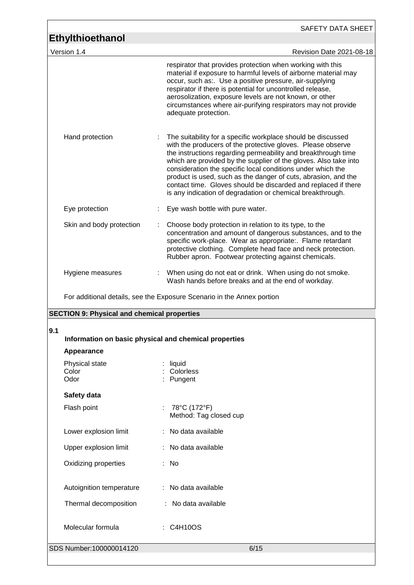| <b>Ethylthioethanol</b>                               | SAFETY DATA SHEET                                                                                                                                                                                                                                                                                                                                                                                                                                                                                                                 |
|-------------------------------------------------------|-----------------------------------------------------------------------------------------------------------------------------------------------------------------------------------------------------------------------------------------------------------------------------------------------------------------------------------------------------------------------------------------------------------------------------------------------------------------------------------------------------------------------------------|
| Version 1.4                                           | Revision Date 2021-08-18                                                                                                                                                                                                                                                                                                                                                                                                                                                                                                          |
|                                                       | respirator that provides protection when working with this<br>material if exposure to harmful levels of airborne material may<br>occur, such as:. Use a positive pressure, air-supplying<br>respirator if there is potential for uncontrolled release,<br>aerosolization, exposure levels are not known, or other<br>circumstances where air-purifying respirators may not provide<br>adequate protection.                                                                                                                        |
| Hand protection                                       | The suitability for a specific workplace should be discussed<br>with the producers of the protective gloves. Please observe<br>the instructions regarding permeability and breakthrough time<br>which are provided by the supplier of the gloves. Also take into<br>consideration the specific local conditions under which the<br>product is used, such as the danger of cuts, abrasion, and the<br>contact time. Gloves should be discarded and replaced if there<br>is any indication of degradation or chemical breakthrough. |
| Eye protection                                        | Eye wash bottle with pure water.                                                                                                                                                                                                                                                                                                                                                                                                                                                                                                  |
| Skin and body protection                              | Choose body protection in relation to its type, to the<br>concentration and amount of dangerous substances, and to the<br>specific work-place. Wear as appropriate:. Flame retardant<br>protective clothing. Complete head face and neck protection.<br>Rubber apron. Footwear protecting against chemicals.                                                                                                                                                                                                                      |
| Hygiene measures                                      | When using do not eat or drink. When using do not smoke.<br>Wash hands before breaks and at the end of workday.                                                                                                                                                                                                                                                                                                                                                                                                                   |
|                                                       |                                                                                                                                                                                                                                                                                                                                                                                                                                                                                                                                   |
|                                                       | For additional details, see the Exposure Scenario in the Annex portion                                                                                                                                                                                                                                                                                                                                                                                                                                                            |
| <b>SECTION 9: Physical and chemical properties</b>    |                                                                                                                                                                                                                                                                                                                                                                                                                                                                                                                                   |
| 9.1                                                   |                                                                                                                                                                                                                                                                                                                                                                                                                                                                                                                                   |
| Information on basic physical and chemical properties |                                                                                                                                                                                                                                                                                                                                                                                                                                                                                                                                   |
| Appearance<br>Physical state                          | liquid                                                                                                                                                                                                                                                                                                                                                                                                                                                                                                                            |
| Color<br>Odor                                         | Colorless<br>Pungent                                                                                                                                                                                                                                                                                                                                                                                                                                                                                                              |
|                                                       |                                                                                                                                                                                                                                                                                                                                                                                                                                                                                                                                   |
| Safety data<br>Flash point                            | 78°C (172°F)<br>Method: Tag closed cup                                                                                                                                                                                                                                                                                                                                                                                                                                                                                            |
| Lower explosion limit                                 | No data available                                                                                                                                                                                                                                                                                                                                                                                                                                                                                                                 |
| Upper explosion limit                                 | No data available                                                                                                                                                                                                                                                                                                                                                                                                                                                                                                                 |
| Oxidizing properties                                  | : No                                                                                                                                                                                                                                                                                                                                                                                                                                                                                                                              |
| Autoignition temperature                              | : No data available                                                                                                                                                                                                                                                                                                                                                                                                                                                                                                               |
| Thermal decomposition                                 | : No data available                                                                                                                                                                                                                                                                                                                                                                                                                                                                                                               |
| Molecular formula                                     | : C4H10OS                                                                                                                                                                                                                                                                                                                                                                                                                                                                                                                         |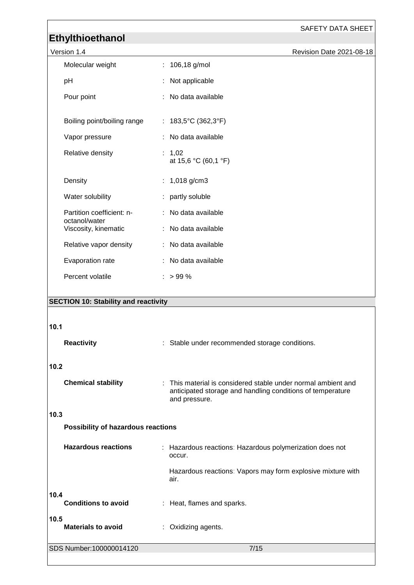SAFETY DATA SHEET

## **Ethylthioethanol**

| Version 1.4                                 |                                                | Revision Date 2021-08-18 |
|---------------------------------------------|------------------------------------------------|--------------------------|
| Molecular weight                            | : 106,18 g/mol                                 |                          |
| pH                                          | Not applicable                                 |                          |
| Pour point                                  | : No data available                            |                          |
| Boiling point/boiling range                 | : $183,5^{\circ}C(362,3^{\circ}F)$             |                          |
| Vapor pressure                              | : No data available                            |                          |
| Relative density                            | : 1,02<br>at 15,6 °C (60,1 °F)                 |                          |
| Density                                     | : $1,018$ g/cm3                                |                          |
| Water solubility                            | : partly soluble                               |                          |
| Partition coefficient: n-<br>octanol/water  | : No data available                            |                          |
| Viscosity, kinematic                        | : No data available                            |                          |
| Relative vapor density                      | : No data available                            |                          |
| Evaporation rate                            | : No data available                            |                          |
| Percent volatile                            | $: > 99 \%$                                    |                          |
|                                             |                                                |                          |
| <b>SECTION 10: Stability and reactivity</b> |                                                |                          |
| 10.1                                        |                                                |                          |
|                                             |                                                |                          |
| <b>Reactivity</b>                           | : Stable under recommended storage conditions. |                          |
| 10 <sub>2</sub>                             |                                                |                          |

#### **10.2**

| <b>Chemical stability</b> | : This material is considered stable under normal ambient and<br>anticipated storage and handling conditions of temperature<br>and pressure. |
|---------------------------|----------------------------------------------------------------------------------------------------------------------------------------------|
|                           |                                                                                                                                              |

#### **10.3**

**Possibility of hazardous reactions**

| <b>Hazardous reactions</b>         | : Hazardous reactions: Hazardous polymerization does not<br>occur.  |
|------------------------------------|---------------------------------------------------------------------|
|                                    | Hazardous reactions: Vapors may form explosive mixture with<br>air. |
| 10.4<br><b>Conditions to avoid</b> | : Heat, flames and sparks.                                          |
| 10.5<br><b>Materials to avoid</b>  | Oxidizing agents.                                                   |
| SDS Number:100000014120            | 7/15                                                                |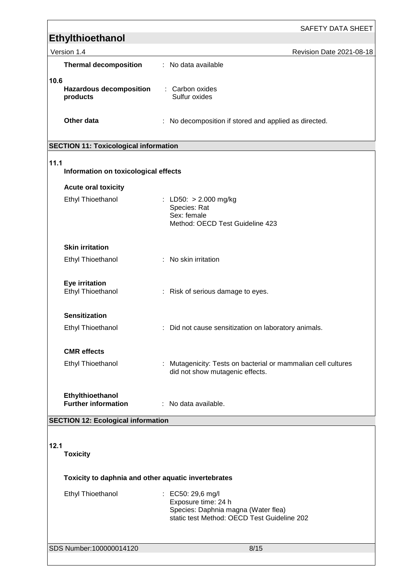| Ethylthioethanol                                    | SAFETY DATA SHEET                                                                                                                         |
|-----------------------------------------------------|-------------------------------------------------------------------------------------------------------------------------------------------|
| Version 1.4                                         | Revision Date 2021-08-18                                                                                                                  |
| <b>Thermal decomposition</b>                        | : No data available                                                                                                                       |
| 10.6<br><b>Hazardous decomposition</b><br>products  | : Carbon oxides<br>Sulfur oxides                                                                                                          |
| Other data                                          | : No decomposition if stored and applied as directed.                                                                                     |
| <b>SECTION 11: Toxicological information</b>        |                                                                                                                                           |
| 11.1<br>Information on toxicological effects        |                                                                                                                                           |
| <b>Acute oral toxicity</b>                          |                                                                                                                                           |
| <b>Ethyl Thioethanol</b>                            | : LD50: $> 2.000$ mg/kg<br>Species: Rat<br>Sex: female<br>Method: OECD Test Guideline 423                                                 |
| <b>Skin irritation</b>                              |                                                                                                                                           |
| Ethyl Thioethanol                                   | : No skin irritation                                                                                                                      |
| Eye irritation<br>Ethyl Thioethanol                 | : Risk of serious damage to eyes.                                                                                                         |
| <b>Sensitization</b>                                |                                                                                                                                           |
| <b>Ethyl Thioethanol</b>                            | : Did not cause sensitization on laboratory animals.                                                                                      |
| <b>CMR</b> effects                                  |                                                                                                                                           |
| <b>Ethyl Thioethanol</b>                            | : Mutagenicity: Tests on bacterial or mammalian cell cultures<br>did not show mutagenic effects.                                          |
| Ethylthioethanol<br><b>Further information</b>      | : No data available.                                                                                                                      |
| <b>SECTION 12: Ecological information</b>           |                                                                                                                                           |
| 12.1<br><b>Toxicity</b>                             |                                                                                                                                           |
| Toxicity to daphnia and other aquatic invertebrates |                                                                                                                                           |
| <b>Ethyl Thioethanol</b>                            | $\therefore$ EC50: 29,6 mg/l<br>Exposure time: 24 h<br>Species: Daphnia magna (Water flea)<br>static test Method: OECD Test Guideline 202 |
| SDS Number:100000014120                             | 8/15                                                                                                                                      |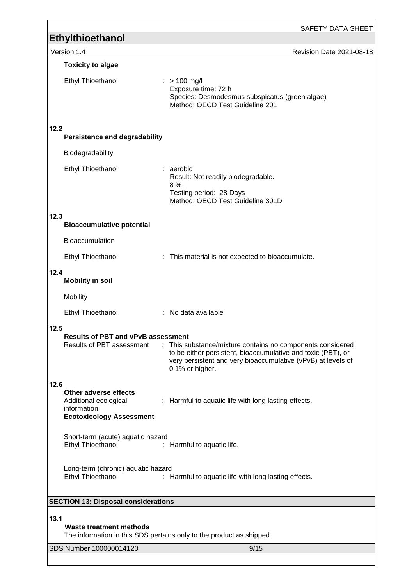|                                                                                                          | SAFETY DATA SHEET                                                                                                                                                                                             |
|----------------------------------------------------------------------------------------------------------|---------------------------------------------------------------------------------------------------------------------------------------------------------------------------------------------------------------|
| <b>Ethylthioethanol</b>                                                                                  |                                                                                                                                                                                                               |
| Version 1.4                                                                                              | Revision Date 2021-08-18                                                                                                                                                                                      |
| <b>Toxicity to algae</b><br>Ethyl Thioethanol                                                            | $: > 100$ mg/l<br>Exposure time: 72 h<br>Species: Desmodesmus subspicatus (green algae)<br>Method: OECD Test Guideline 201                                                                                    |
| 12.2<br><b>Persistence and degradability</b>                                                             |                                                                                                                                                                                                               |
| Biodegradability                                                                                         |                                                                                                                                                                                                               |
| Ethyl Thioethanol                                                                                        | : aerobic<br>Result: Not readily biodegradable.<br>8%<br>Testing period: 28 Days<br>Method: OECD Test Guideline 301D                                                                                          |
| 12.3<br><b>Bioaccumulative potential</b>                                                                 |                                                                                                                                                                                                               |
| <b>Bioaccumulation</b>                                                                                   |                                                                                                                                                                                                               |
| <b>Ethyl Thioethanol</b>                                                                                 | : This material is not expected to bioaccumulate.                                                                                                                                                             |
| 12.4<br><b>Mobility in soil</b>                                                                          |                                                                                                                                                                                                               |
| Mobility                                                                                                 |                                                                                                                                                                                                               |
| <b>Ethyl Thioethanol</b>                                                                                 | : No data available                                                                                                                                                                                           |
| 12.5<br><b>Results of PBT and vPvB assessment</b><br><b>Results of PBT assessment</b>                    | : This substance/mixture contains no components considered<br>to be either persistent, bioaccumulative and toxic (PBT), or<br>very persistent and very bioaccumulative (vPvB) at levels of<br>0.1% or higher. |
| 12.6<br>Other adverse effects<br>Additional ecological<br>information<br><b>Ecotoxicology Assessment</b> | : Harmful to aquatic life with long lasting effects.                                                                                                                                                          |
| Short-term (acute) aquatic hazard<br>Ethyl Thioethanol                                                   | : Harmful to aquatic life.                                                                                                                                                                                    |
| Long-term (chronic) aquatic hazard<br>Ethyl Thioethanol                                                  | : Harmful to aquatic life with long lasting effects.                                                                                                                                                          |
| <b>SECTION 13: Disposal considerations</b>                                                               |                                                                                                                                                                                                               |
| 13.1<br>Waste treatment methods                                                                          | The information in this SDS pertains only to the product as shipped.                                                                                                                                          |
| SDS Number:100000014120                                                                                  | 9/15                                                                                                                                                                                                          |

<u> 1980 - Johann Barbara, martxa a</u>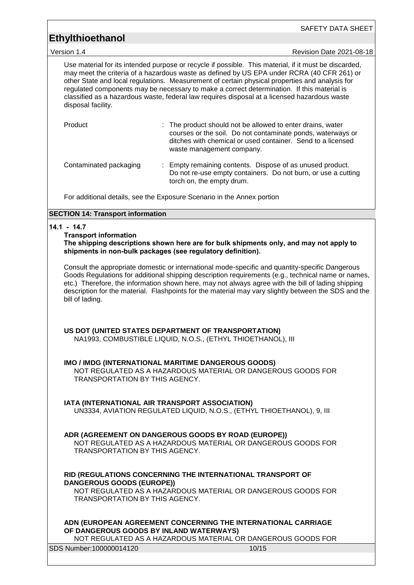SAFETY DATA SHEET

Version 1.4 Revision Date 2021-08-18

Use material for its intended purpose or recycle if possible. This material, if it must be discarded, may meet the criteria of a hazardous waste as defined by US EPA under RCRA (40 CFR 261) or other State and local regulations. Measurement of certain physical properties and analysis for regulated components may be necessary to make a correct determination. If this material is classified as a hazardous waste, federal law requires disposal at a licensed hazardous waste disposal facility.

| Product                | : The product should not be allowed to enter drains, water<br>courses or the soil. Do not contaminate ponds, waterways or<br>ditches with chemical or used container. Send to a licensed<br>waste management company. |
|------------------------|-----------------------------------------------------------------------------------------------------------------------------------------------------------------------------------------------------------------------|
| Contaminated packaging | : Empty remaining contents. Dispose of as unused product.<br>Do not re-use empty containers. Do not burn, or use a cutting                                                                                            |

torch on, the empty drum.

For additional details, see the Exposure Scenario in the Annex portion

#### **SECTION 14: Transport information**

#### **14.1 - 14.7**

**Transport information**

**The shipping descriptions shown here are for bulk shipments only, and may not apply to shipments in non-bulk packages (see regulatory definition).**

Consult the appropriate domestic or international mode-specific and quantity-specific Dangerous Goods Regulations for additional shipping description requirements (e.g., technical name or names, etc.) Therefore, the information shown here, may not always agree with the bill of lading shipping description for the material. Flashpoints for the material may vary slightly between the SDS and the bill of lading.

#### **US DOT (UNITED STATES DEPARTMENT OF TRANSPORTATION)**

NA1993, COMBUSTIBLE LIQUID, N.O.S., (ETHYL THIOETHANOL), III

#### **IMO / IMDG (INTERNATIONAL MARITIME DANGEROUS GOODS)**

NOT REGULATED AS A HAZARDOUS MATERIAL OR DANGEROUS GOODS FOR TRANSPORTATION BY THIS AGENCY.

#### **IATA (INTERNATIONAL AIR TRANSPORT ASSOCIATION)**

UN3334, AVIATION REGULATED LIQUID, N.O.S., (ETHYL THIOETHANOL), 9, III

#### **ADR (AGREEMENT ON DANGEROUS GOODS BY ROAD (EUROPE))**

NOT REGULATED AS A HAZARDOUS MATERIAL OR DANGEROUS GOODS FOR TRANSPORTATION BY THIS AGENCY.

#### **RID (REGULATIONS CONCERNING THE INTERNATIONAL TRANSPORT OF DANGEROUS GOODS (EUROPE))**

NOT REGULATED AS A HAZARDOUS MATERIAL OR DANGEROUS GOODS FOR TRANSPORTATION BY THIS AGENCY.

#### **ADN (EUROPEAN AGREEMENT CONCERNING THE INTERNATIONAL CARRIAGE OF DANGEROUS GOODS BY INLAND WATERWAYS)**

NOT REGULATED AS A HAZARDOUS MATERIAL OR DANGEROUS GOODS FOR

| SDS Number: 100000014120 | 10/15 |  |
|--------------------------|-------|--|
|                          |       |  |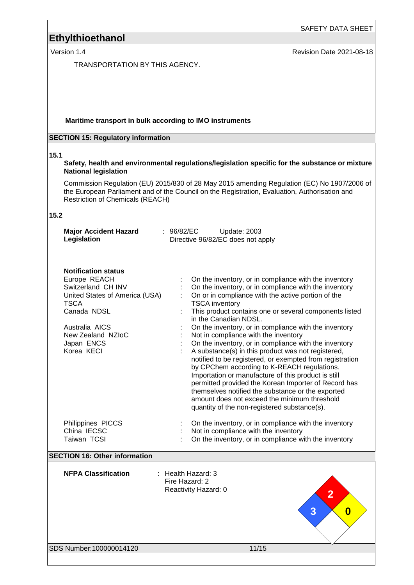Version 1.4 **Version 1.4** Revision Date 2021-08-18

TRANSPORTATION BY THIS AGENCY.

#### **Maritime transport in bulk according to IMO instruments**

#### **SECTION 15: Regulatory information**

#### **15.1**

#### **Safety, health and environmental regulations/legislation specific for the substance or mixture National legislation**

Commission Regulation (EU) 2015/830 of 28 May 2015 amending Regulation (EC) No 1907/2006 of the European Parliament and of the Council on the Registration, Evaluation, Authorisation and Restriction of Chemicals (REACH)

#### **15.2**

| <b>Major Accident Hazard</b><br>Legislation                                                                                                                                                                                                            | : $96/82/EC$<br>Update: 2003<br>Directive 96/82/EC does not apply                                                                                                                                                                                                                                                                                                                                                                                                                                                                                                                                                                                                                                                                                                                                                                                                                                                                                                                                                                         |
|--------------------------------------------------------------------------------------------------------------------------------------------------------------------------------------------------------------------------------------------------------|-------------------------------------------------------------------------------------------------------------------------------------------------------------------------------------------------------------------------------------------------------------------------------------------------------------------------------------------------------------------------------------------------------------------------------------------------------------------------------------------------------------------------------------------------------------------------------------------------------------------------------------------------------------------------------------------------------------------------------------------------------------------------------------------------------------------------------------------------------------------------------------------------------------------------------------------------------------------------------------------------------------------------------------------|
| <b>Notification status</b><br>Europe REACH<br>Switzerland CH INV<br>United States of America (USA)<br><b>TSCA</b><br>Canada NDSL<br>Australia AICS<br>New Zealand NZIoC<br>Japan ENCS<br>Korea KECI<br>Philippines PICCS<br>China IECSC<br>Taiwan TCSI | On the inventory, or in compliance with the inventory<br>On the inventory, or in compliance with the inventory<br>On or in compliance with the active portion of the<br><b>TSCA</b> inventory<br>This product contains one or several components listed<br>in the Canadian NDSL.<br>On the inventory, or in compliance with the inventory<br>Not in compliance with the inventory<br>On the inventory, or in compliance with the inventory<br>A substance(s) in this product was not registered,<br>notified to be registered, or exempted from registration<br>by CPChem according to K-REACH regulations.<br>Importation or manufacture of this product is still<br>permitted provided the Korean Importer of Record has<br>themselves notified the substance or the exported<br>amount does not exceed the minimum threshold<br>quantity of the non-registered substance(s).<br>On the inventory, or in compliance with the inventory<br>Not in compliance with the inventory<br>On the inventory, or in compliance with the inventory |
| <b>SECTION 16: Other information</b>                                                                                                                                                                                                                   |                                                                                                                                                                                                                                                                                                                                                                                                                                                                                                                                                                                                                                                                                                                                                                                                                                                                                                                                                                                                                                           |
| <b>NFPA Classification</b>                                                                                                                                                                                                                             | : Health Hazard: 3<br>Fire Hazard: 2<br>Reactivity Hazard: 0<br>$\overline{2}$<br>3<br>$\boldsymbol{0}$                                                                                                                                                                                                                                                                                                                                                                                                                                                                                                                                                                                                                                                                                                                                                                                                                                                                                                                                   |
| SDS Number:100000014120                                                                                                                                                                                                                                | 11/15                                                                                                                                                                                                                                                                                                                                                                                                                                                                                                                                                                                                                                                                                                                                                                                                                                                                                                                                                                                                                                     |
|                                                                                                                                                                                                                                                        |                                                                                                                                                                                                                                                                                                                                                                                                                                                                                                                                                                                                                                                                                                                                                                                                                                                                                                                                                                                                                                           |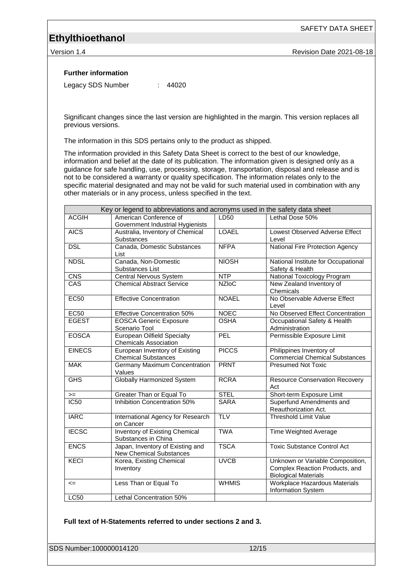SAFETY DATA SHEET

Version 1.4 **New Search 2021-08-18** Revision Date 2021-08-18

#### **Further information**

Legacy SDS Number : 44020

Significant changes since the last version are highlighted in the margin. This version replaces all previous versions.

The information in this SDS pertains only to the product as shipped.

The information provided in this Safety Data Sheet is correct to the best of our knowledge, information and belief at the date of its publication. The information given is designed only as a guidance for safe handling, use, processing, storage, transportation, disposal and release and is not to be considered a warranty or quality specification. The information relates only to the specific material designated and may not be valid for such material used in combination with any other materials or in any process, unless specified in the text.

|               | Key or legend to abbreviations and acronyms used in the safety data sheet |              |                                                                                                   |
|---------------|---------------------------------------------------------------------------|--------------|---------------------------------------------------------------------------------------------------|
| <b>ACGIH</b>  | American Conference of<br>Government Industrial Hygienists                | LD50         | Lethal Dose 50%                                                                                   |
| <b>AICS</b>   | Australia, Inventory of Chemical<br>Substances                            | <b>LOAEL</b> | <b>Lowest Observed Adverse Effect</b><br>Level                                                    |
| <b>DSL</b>    | Canada, Domestic Substances<br>List                                       | <b>NFPA</b>  | National Fire Protection Agency                                                                   |
| <b>NDSL</b>   | Canada, Non-Domestic<br>Substances List                                   | <b>NIOSH</b> | National Institute for Occupational<br>Safety & Health                                            |
| <b>CNS</b>    | Central Nervous System                                                    | <b>NTP</b>   | National Toxicology Program                                                                       |
| CAS           | <b>Chemical Abstract Service</b>                                          | <b>NZIoC</b> | New Zealand Inventory of<br>Chemicals                                                             |
| <b>EC50</b>   | <b>Effective Concentration</b>                                            | <b>NOAEL</b> | No Observable Adverse Effect<br>Level                                                             |
| <b>EC50</b>   | <b>Effective Concentration 50%</b>                                        | <b>NOEC</b>  | No Observed Effect Concentration                                                                  |
| <b>EGEST</b>  | <b>EOSCA Generic Exposure</b><br>Scenario Tool                            | <b>OSHA</b>  | Occupational Safety & Health<br>Administration                                                    |
| <b>EOSCA</b>  | European Oilfield Specialty<br><b>Chemicals Association</b>               | PEL          | Permissible Exposure Limit                                                                        |
| <b>EINECS</b> | European Inventory of Existing<br><b>Chemical Substances</b>              | <b>PICCS</b> | Philippines Inventory of<br><b>Commercial Chemical Substances</b>                                 |
| <b>MAK</b>    | Germany Maximum Concentration<br>Values                                   | <b>PRNT</b>  | <b>Presumed Not Toxic</b>                                                                         |
| <b>GHS</b>    | <b>Globally Harmonized System</b>                                         | <b>RCRA</b>  | <b>Resource Conservation Recovery</b><br>Act                                                      |
| $>=$          | Greater Than or Equal To                                                  | <b>STEL</b>  | Short-term Exposure Limit                                                                         |
| IC50          | Inhibition Concentration 50%                                              | <b>SARA</b>  | Superfund Amendments and<br>Reauthorization Act.                                                  |
| <b>IARC</b>   | International Agency for Research<br>on Cancer                            | <b>TLV</b>   | <b>Threshold Limit Value</b>                                                                      |
| <b>IECSC</b>  | Inventory of Existing Chemical<br>Substances in China                     | <b>TWA</b>   | Time Weighted Average                                                                             |
| <b>ENCS</b>   | Japan, Inventory of Existing and<br><b>New Chemical Substances</b>        | <b>TSCA</b>  | <b>Toxic Substance Control Act</b>                                                                |
| <b>KECI</b>   | Korea, Existing Chemical<br>Inventory                                     | <b>UVCB</b>  | Unknown or Variable Composition,<br>Complex Reaction Products, and<br><b>Biological Materials</b> |
| $\leq$        | Less Than or Equal To                                                     | <b>WHMIS</b> | Workplace Hazardous Materials<br>Information System                                               |
| <b>LC50</b>   | Lethal Concentration 50%                                                  |              |                                                                                                   |

#### **Full text of H-Statements referred to under sections 2 and 3.**

SDS Number:100000014120 12/15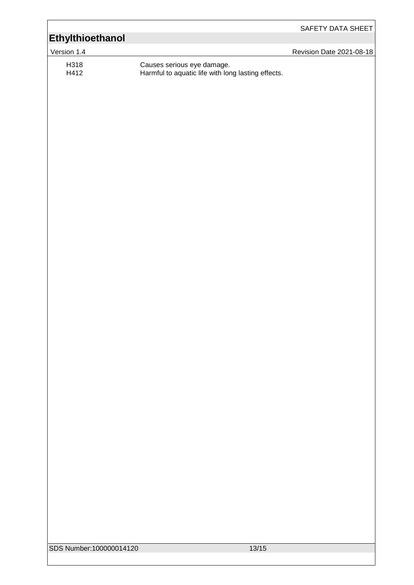|                                  |                                                                                  | SAFETY DATA SHEET        |
|----------------------------------|----------------------------------------------------------------------------------|--------------------------|
| Version 1.4                      |                                                                                  | Revision Date 2021-08-18 |
| Ethylthioethanol<br>H318<br>H412 | Causes serious eye damage.<br>Harmful to aquatic life with long lasting effects. |                          |
| SDS Number:100000014120          | 13/15                                                                            |                          |
|                                  |                                                                                  |                          |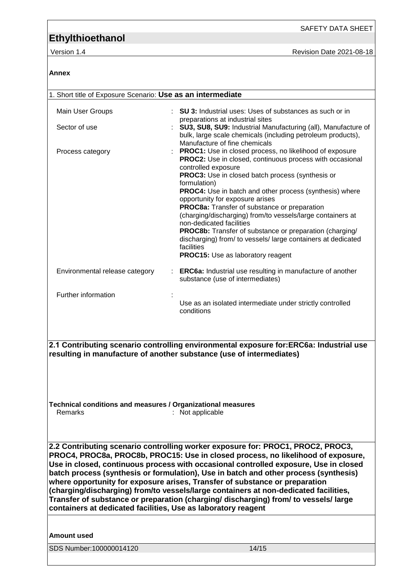SAFETY DATA SHEET

Version 1.4 **Version 1.4** Revision Date 2021-08-18

#### **Annex**

| 1. Short title of Exposure Scenario: Use as an intermediate            |                                                                                                                                                                                                                                                                                                |
|------------------------------------------------------------------------|------------------------------------------------------------------------------------------------------------------------------------------------------------------------------------------------------------------------------------------------------------------------------------------------|
| Main User Groups                                                       | <b>SU 3:</b> Industrial uses: Uses of substances as such or in                                                                                                                                                                                                                                 |
| Sector of use                                                          | preparations at industrial sites<br>SU3, SU8, SU9: Industrial Manufacturing (all), Manufacture of<br>bulk, large scale chemicals (including petroleum products),<br>Manufacture of fine chemicals                                                                                              |
| Process category                                                       | <b>PROC1:</b> Use in closed process, no likelihood of exposure<br><b>PROC2:</b> Use in closed, continuous process with occasional<br>controlled exposure<br>PROC3: Use in closed batch process (synthesis or<br>formulation)<br><b>PROC4:</b> Use in batch and other process (synthesis) where |
|                                                                        | opportunity for exposure arises<br>PROC8a: Transfer of substance or preparation<br>(charging/discharging) from/to vessels/large containers at                                                                                                                                                  |
|                                                                        | non-dedicated facilities<br><b>PROC8b:</b> Transfer of substance or preparation (charging/                                                                                                                                                                                                     |
|                                                                        | discharging) from/ to vessels/ large containers at dedicated<br>facilities<br><b>PROC15:</b> Use as laboratory reagent                                                                                                                                                                         |
| Environmental release category                                         | <b>ERC6a:</b> Industrial use resulting in manufacture of another<br>substance (use of intermediates)                                                                                                                                                                                           |
| Further information                                                    |                                                                                                                                                                                                                                                                                                |
|                                                                        | Use as an isolated intermediate under strictly controlled<br>conditions                                                                                                                                                                                                                        |
|                                                                        |                                                                                                                                                                                                                                                                                                |
| resulting in manufacture of another substance (use of intermediates)   | 2.1 Contributing scenario controlling environmental exposure for:ERC6a: Industrial use                                                                                                                                                                                                         |
|                                                                        |                                                                                                                                                                                                                                                                                                |
| Technical conditions and measures / Organizational measures<br>Remarks | : Not applicable                                                                                                                                                                                                                                                                               |
|                                                                        | 2.2 Contributing scenario controlling worker exposure for: PROC1, PROC2, PROC3,<br>PROC4, PROC8a, PROC8b, PROC15: Use in closed process, no likelihood of exposure,<br>Use in closed, continuous process with occasional controlled exposure, Use in closed                                    |
|                                                                        | batch process (synthesis or formulation), Use in batch and other process (synthesis)                                                                                                                                                                                                           |
|                                                                        | where opportunity for exposure arises, Transfer of substance or preparation                                                                                                                                                                                                                    |
|                                                                        | (charging/discharging) from/to vessels/large containers at non-dedicated facilities,<br>Transfer of substance or preparation (charging/ discharging) from/ to vessels/ large                                                                                                                   |
| containers at dedicated facilities, Use as laboratory reagent          |                                                                                                                                                                                                                                                                                                |
| <b>Amount used</b>                                                     |                                                                                                                                                                                                                                                                                                |
| SDS Number:100000014120                                                | 14/15                                                                                                                                                                                                                                                                                          |